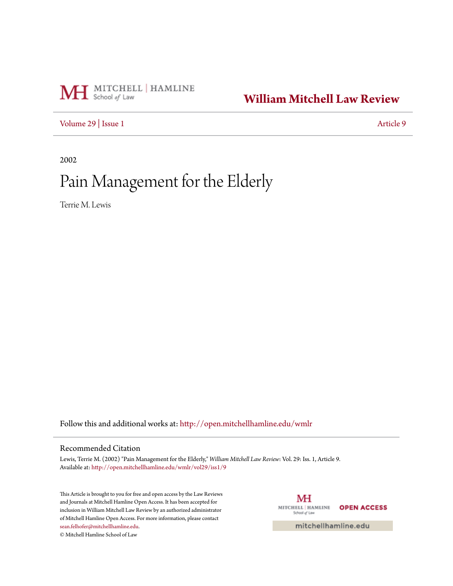# MH School of Law

## **[William Mitchell Law Review](http://open.mitchellhamline.edu/wmlr?utm_source=open.mitchellhamline.edu%2Fwmlr%2Fvol29%2Fiss1%2F9&utm_medium=PDF&utm_campaign=PDFCoverPages)**

[Volume 29](http://open.mitchellhamline.edu/wmlr/vol29?utm_source=open.mitchellhamline.edu%2Fwmlr%2Fvol29%2Fiss1%2F9&utm_medium=PDF&utm_campaign=PDFCoverPages) | [Issue 1](http://open.mitchellhamline.edu/wmlr/vol29/iss1?utm_source=open.mitchellhamline.edu%2Fwmlr%2Fvol29%2Fiss1%2F9&utm_medium=PDF&utm_campaign=PDFCoverPages) [Article 9](http://open.mitchellhamline.edu/wmlr/vol29/iss1/9?utm_source=open.mitchellhamline.edu%2Fwmlr%2Fvol29%2Fiss1%2F9&utm_medium=PDF&utm_campaign=PDFCoverPages)

2002

## Pain Management for the Elderly

Terrie M. Lewis

Follow this and additional works at: [http://open.mitchellhamline.edu/wmlr](http://open.mitchellhamline.edu/wmlr?utm_source=open.mitchellhamline.edu%2Fwmlr%2Fvol29%2Fiss1%2F9&utm_medium=PDF&utm_campaign=PDFCoverPages)

### Recommended Citation

Lewis, Terrie M. (2002) "Pain Management for the Elderly," *William Mitchell Law Review*: Vol. 29: Iss. 1, Article 9. Available at: [http://open.mitchellhamline.edu/wmlr/vol29/iss1/9](http://open.mitchellhamline.edu/wmlr/vol29/iss1/9?utm_source=open.mitchellhamline.edu%2Fwmlr%2Fvol29%2Fiss1%2F9&utm_medium=PDF&utm_campaign=PDFCoverPages)

This Article is brought to you for free and open access by the Law Reviews and Journals at Mitchell Hamline Open Access. It has been accepted for inclusion in William Mitchell Law Review by an authorized administrator of Mitchell Hamline Open Access. For more information, please contact [sean.felhofer@mitchellhamline.edu](mailto:sean.felhofer@mitchellhamline.edu). © Mitchell Hamline School of Law

MH MITCHELL | HAMLINE **OPEN ACCESS** School of Law

mitchellhamline.edu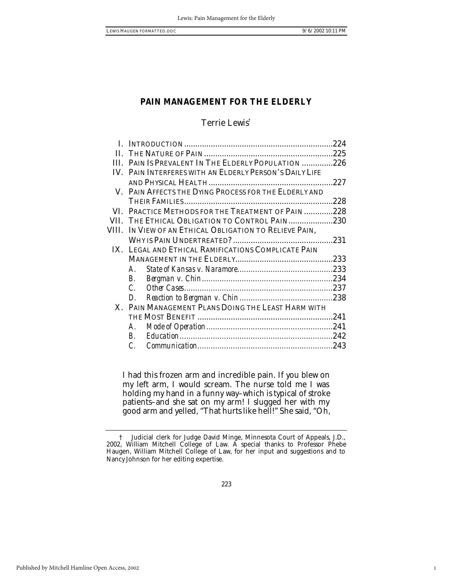1

### **PAIN MANAGEMENT FOR THE ELDERLY**

### Terrie Lewis†

|            |                                                         | 224  |
|------------|---------------------------------------------------------|------|
| $\Pi$      |                                                         |      |
| <b>III</b> | PAIN IS PREVALENT IN THE ELDERLY POPULATION 226         |      |
|            | IV. PAIN INTERFERES WITH AN ELDERLY PERSON'S DAILY LIFE |      |
|            |                                                         | .227 |
|            | V. PAIN AFFECTS THE DYING PROCESS FOR THE ELDERLY AND   |      |
|            |                                                         | .228 |
| VL.        | PRACTICE METHODS FOR THE TREATMENT OF PAIN228           |      |
| VII.       | THE ETHICAL OBLIGATION TO CONTROL PAIN230               |      |
| VIII.      | IN VIEW OF AN ETHICAL OBLIGATION TO RELIEVE PAIN,       |      |
|            |                                                         |      |
|            | IX. LEGAL AND ETHICAL RAMIFICATIONS COMPLICATE PAIN     |      |
|            |                                                         |      |
|            | $\bm{A}$                                                |      |
|            | В.                                                      |      |
|            | $\mathcal{C}$                                           |      |
|            | D.                                                      |      |
|            | X. PAIN MANAGEMENT PLANS DOING THE LEAST HARM WITH      |      |
|            |                                                         |      |
|            | A.                                                      |      |
|            | $\bm{B}$                                                |      |
|            | C                                                       |      |
|            |                                                         |      |

I had this frozen arm and incredible pain. If you blew on my left arm, I would scream. The nurse told me I was holding my hand in a funny way–which is typical of stroke patients–and she sat on my arm! I slugged her with my good arm and yelled, "That hurts like hell!" She said, "Oh,

<sup>†</sup> Judicial clerk for Judge David Minge, Minnesota Court of Appeals, J.D., 2002, William Mitchell College of Law. A special thanks to Professor Phebe Haugen, William Mitchell College of Law, for her input and suggestions and to Nancy Johnson for her editing expertise.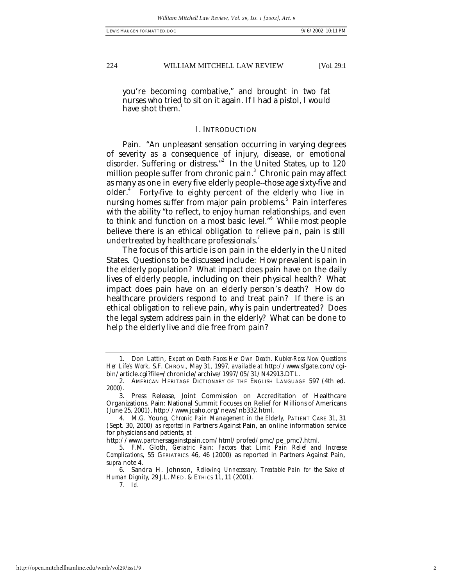you're becoming combative," and brought in two fat nurses who tried to sit on it again. If I had a pistol, I would have shot them.<sup>1</sup>

### I. INTRODUCTION

Pain. "An unpleasant sensation occurring in varying degrees of severity as a consequence of injury, disease, or emotional disorder. Suffering or distress."<sup>2</sup> In the United States, up to 120 million people suffer from chronic pain. 3 Chronic pain may affect as many as one in every five elderly people--those age sixty-five and older.<sup>4</sup> Forty-five to eighty percent of the elderly who live in nursing homes suffer from major pain problems.<sup>5</sup> Pain interferes with the ability "to reflect, to enjoy human relationships, and even to think and function on a most basic level."<sup>6</sup> While most people believe there is an ethical obligation to relieve pain, pain is still undertreated by healthcare professionals.

The focus of this article is on pain in the elderly in the United States. Questions to be discussed include: How prevalent is pain in the elderly population? What impact does pain have on the daily lives of elderly people, including on their physical health? What impact does pain have on an elderly person's death? How do healthcare providers respond to and treat pain? If there is an ethical obligation to relieve pain, why is pain undertreated? Does the legal system address pain in the elderly? What can be done to help the elderly live and die free from pain?

<sup>1.</sup> Don Lattin, *Expert on Death Faces Her Own Death. Kubler-Ross Now Questions Her Life's Work*, S.F. CHRON., May 31, 1997, *available at* http://www.sfgate.com/cgibin/article.cgi?file=/chronicle/archive/1997/05/31/N42913.DTL.

<sup>2.</sup> AMERICAN HERITAGE DICTIONARY OF THE ENGLISH LANGUAGE 597 (4th ed. 2000).

<sup>3.</sup> Press Release, Joint Commission on Accreditation of Healthcare Organizations, Pain: National Summit Focuses on Relief for Millions of Americans (June 25, 2001), http://www.jcaho.org/news/nb332.html.

<sup>4.</sup> M.G. Young, *Chronic Pain Management in the Elderly*, PATIENT CARE 31, 31 (Sept. 30, 2000) *as reported in* Partners Against Pain, an online information service for physicians and patients, *at*

http://www.partnersagainstpain.com/html/profed/pmc/pe\_pmc7.html.

<sup>5.</sup> F.M. Gloth, *Geriatric Pain: Factors that Limit Pain Relief and Increase Complications*, 55 GERIATRICS 46, 46 (2000) as reported in Partners Against Pain, *supra* note 4.

<sup>6.</sup> Sandra H. Johnson, *Relieving Unnecessary, Treatable Pain for the Sake of Human Dignity,* 29 J.L. MED. & ETHICS 11, 11 (2001).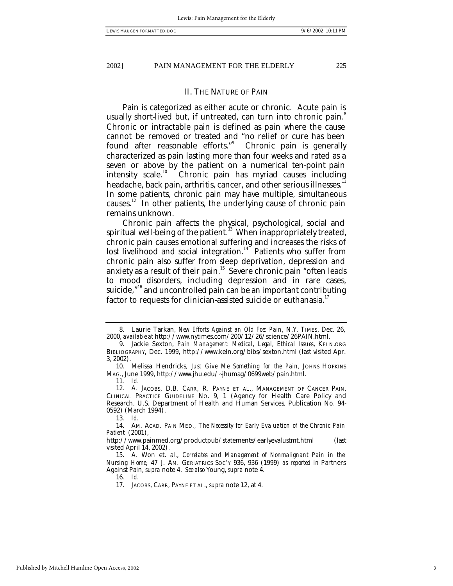### II. THE NATURE OF PAIN

Pain is categorized as either acute or chronic. Acute pain is usually short-lived but, if untreated, can turn into chronic pain.<sup>8</sup> Chronic or intractable pain is defined as pain where the cause cannot be removed or treated and "no relief or cure has been found after reasonable efforts."<sup>9</sup> Chronic pain is generally characterized as pain lasting more than four weeks and rated as a seven or above by the patient on a numerical ten-point pain intensity scale.<sup>10</sup> Chronic pain has myriad causes including headache, back pain, arthritis, cancer, and other serious illnesses.<sup>11</sup> In some patients, chronic pain may have multiple, simultaneous causes.<sup>12</sup> In other patients, the underlying cause of chronic pain remains unknown.

Chronic pain affects the physical, psychological, social and spiritual well-being of the patient.<sup>13</sup> When inappropriately treated, chronic pain causes emotional suffering and increases the risks of lost livelihood and social integration.<sup>14</sup> Patients who suffer from chronic pain also suffer from sleep deprivation, depression and anxiety as a result of their pain.<sup>15</sup> Severe chronic pain "often leads to mood disorders, including depression and in rare cases, suicide,"<sup>16</sup> and uncontrolled pain can be an important contributing factor to requests for clinician-assisted suicide or euthanasia.<sup>17</sup>

<sup>8.</sup> Laurie Tarkan, *New Efforts Against an Old Foe: Pain*, N.Y. TIMES, Dec. 26, 2000, *available at* http://www.nytimes.com/200/12/26/science/26PAIN.html.

<sup>9.</sup> Jackie Sexton, *Pain Management: Medical, Legal, Ethical Issues*, KELN.ORG BIBLIOGRAPHY, Dec. 1999, http://www.keln.org/bibs/sexton.html (last visited Apr. 3, 2002).

<sup>10.</sup> Melissa Hendricks, *Just Give Me Something for the Pain*, JOHNS HOPKINS MAG., June 1999, http://www.jhu.edu/~jhumag/0699web/pain.html.

<sup>11</sup>*. Id*.

<sup>12.</sup> A. JACOBS, D.B. CARR, R. PAYNE ET AL., MANAGEMENT OF CANCER PAIN, CLINICAL PRACTICE GUIDELINE NO. 9, 1 (Agency for Health Care Policy and Research, U.S. Department of Health and Human Services, Publication No. 94- 0592) (March 1994).

<sup>13</sup>*. Id.*

<sup>14.</sup> AM. ACAD. PAIN MED*., The Necessity for Early Evaluation of the Chronic Pain Patient* (2001),

http://www.painmed.org/productpub/statements/earlyevalustmt.html (last visited April 14, 2002).

<sup>15.</sup> A. Won et. al., *Correlates and Management of Nonmalignant Pain in the Nursing Home*, 47 J. AM. GERIATRICS SOC'Y 936, 936 (1999) *as reported in* Partners Against Pain, *supra* note 4. *See also* Young, *supra* note 4.

<sup>17.</sup> JACOBS, CARR, PAYNE ET AL., *supra* note 12, at 4.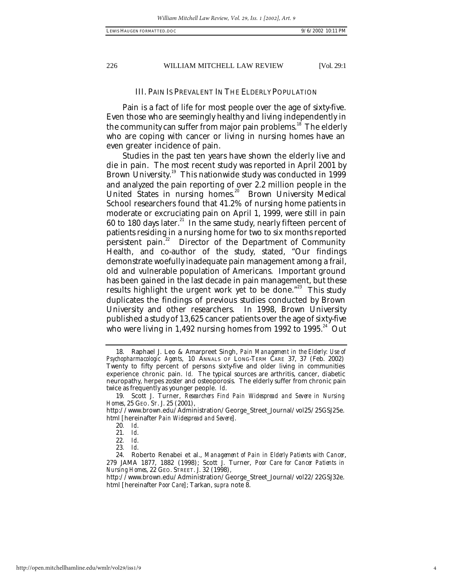### III. PAIN IS PREVALENT IN THE ELDERLY POPULATION

Pain is a fact of life for most people over the age of sixty-five. Even those who are seemingly healthy and living independently in the community can suffer from major pain problems.<sup>18</sup> The elderly who are coping with cancer or living in nursing homes have an even greater incidence of pain.

Studies in the past ten years have shown the elderly live and die in pain. The most recent study was reported in April 2001 by Brown University.<sup>19</sup> This nationwide study was conducted in 1999 and analyzed the pain reporting of over 2.2 million people in the United States in nursing homes.<sup>20</sup> Brown University Medical School researchers found that 41.2% of nursing home patients in moderate or excruciating pain on April 1, 1999, were still in pain 60 to 180 days later.<sup>21</sup> In the same study, nearly fifteen percent of patients residing in a nursing home for two to six months reported persistent pain.<sup>22</sup> Director of the Department of Community Health, and co-author of the study, stated, "Our findings demonstrate woefully inadequate pain management among a frail, old and vulnerable population of Americans. Important ground has been gained in the last decade in pain management, but these results highlight the urgent work yet to be done."<sup>23</sup> This study duplicates the findings of previous studies conducted by Brown University and other researchers. In 1998, Brown University published a study of 13,625 cancer patients over the age of sixty-five who were living in 1,492 nursing homes from 1992 to 1995. $^{24}$  Out

<sup>18.</sup> Raphael J. Leo & Amarpreet Singh, *Pain Management in the Elderly: Use of Psychopharmacologic Agents*, 10 ANNALS OF LONG-TERM CARE 37, 37 (Feb. 2002) Twenty to fifty percent of persons sixty-five and older living in communities experience chronic pain. *Id.* The typical sources are arthritis, cancer, diabetic neuropathy, herpes zoster and osteoporosis. The elderly suffer from chronic pain twice as frequently as younger people. *Id*.

<sup>19.</sup> Scott J. Turner, *Researchers Find Pain Widespread and Severe in Nursing Homes*, 25 GEO. ST. J. 25 (2001),

http://www.brown.edu/Administration/George\_Street\_Journal/vol25/25GSJ25e. html [hereinafter *Pain Widespread and Severe*].

<sup>20</sup>*. Id*.

<sup>21</sup>*. Id*.

<sup>22</sup>*. Id*.

<sup>23</sup>*. Id*.

<sup>24.</sup> Roberto Renabei et al., *Management of Pain in Elderly Patients with Cancer*, 279 JAMA 1877, 1882 (1998); Scott J. Turner, *Poor Care for Cancer Patients in Nursing Homes*, 22 GEO. STREET. J. 32 (1998),

http://www.brown.edu/Administration/George\_Street\_Journal/vol22/22GSJ32e. html [hereinafter *Poor Care*]; Tarkan, *supra* note 8.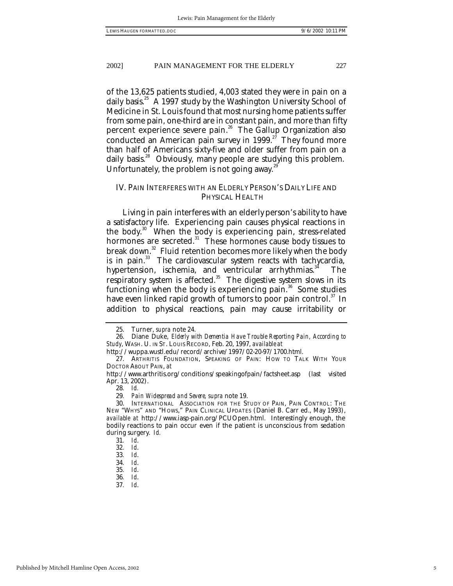of the 13,625 patients studied, 4,003 stated they were in pain on a daily basis.<sup>25</sup> A 1997 study by the Washington University School of Medicine in St. Louis found that most nursing home patients suffer from some pain, one-third are in constant pain, and more than fifty percent experience severe pain.<sup>26</sup> The Gallup Organization also conducted an American pain survey in 1999.<sup>27</sup> They found more than half of Americans sixty-five and older suffer from pain on a daily basis.<sup>28</sup> Obviously, many people are studying this problem. Unfortunately, the problem is not going away. $^{29}$ 

### IV. PAIN INTERFERES WITH AN ELDERLY PERSON'S DAILY LIFE AND PHYSICAL HEALTH

Living in pain interferes with an elderly person's ability to have a satisfactory life. Experiencing pain causes physical reactions in the body.<sup>30</sup> When the body is experiencing pain, stress-related hormones are secreted.<sup>31</sup> These hormones cause body tissues to break down.<sup>32</sup> Fluid retention becomes more likely when the body is in pain.<sup>33</sup> The cardiovascular system reacts with tachycardia, hypertension, ischemia, and ventricular arrhythmias.<sup>34</sup> The respiratory system is affected.<sup>35</sup> The digestive system slows in its functioning when the body is experiencing pain. $36$  Some studies have even linked rapid growth of tumors to poor pain control. $37 \text{ In}$ addition to physical reactions, pain may cause irritability or

<sup>25.</sup> Turner, *supra* note 24.

<sup>26.</sup> Diane Duke, *Elderly with Dementia Have Trouble Reporting Pain, According to Study*, WASH. U. IN ST. LOUIS RECORD, Feb. 20, 1997, *available at*

http://wuppa.wustl.edu/record/archive/1997/02-20-97/1700.html.

<sup>27.</sup> ARTHRITIS FOUNDATION, SPEAKING OF PAIN: HOW TO TALK WITH YOUR DOCTOR ABOUT PAIN, *at*

http://www.arthritis.org/conditions/speakingofpain/factsheet.asp (last visited Apr. 13, 2002).

<sup>28</sup>*. Id.*

<sup>29</sup>*. Pain Widespread and Severe, supra* note 19.

<sup>30.</sup> INTERNATIONAL ASSOCIATION FOR THE STUDY OF PAIN, PAIN CONTROL: THE NEW "WHYS" AND "HOWS," PAIN CLINICAL UPDATES (Daniel B. Carr ed., May 1993), *available at* http://www.iasp-pain.org/PCUOpen.html. Interestingly enough, the bodily reactions to pain occur even if the patient is unconscious from sedation during surgery. *Id.*

<sup>31</sup>*. Id*.

<sup>32</sup>*. Id*.

<sup>33</sup>*. Id*.

<sup>34</sup>*. Id*.

<sup>35</sup>*. Id*.

<sup>36</sup>*. Id*.

<sup>37</sup>*. Id*.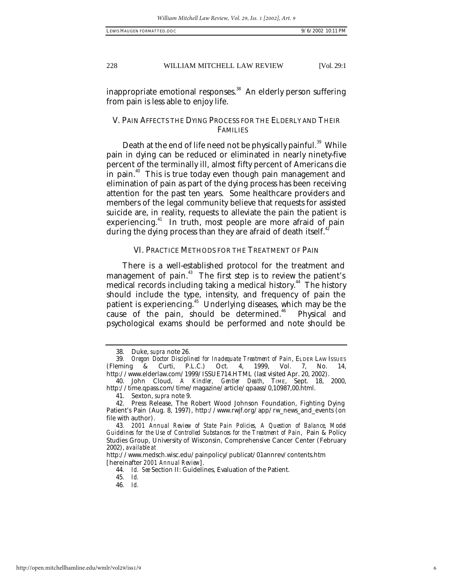inappropriate emotional responses.<sup>38</sup> An elderly person suffering from pain is less able to enjoy life.

### V. PAIN AFFECTS THE DYING PROCESS FOR THE ELDERLY AND THEIR FAMILIES

Death at the end of life need not be physically painful.<sup>39</sup> While pain in dying can be reduced or eliminated in nearly ninety-five percent of the terminally ill, almost fifty percent of Americans die in pain.<sup>40</sup> This is true today even though pain management and elimination of pain as part of the dying process has been receiving attention for the past ten years. Some healthcare providers and members of the legal community believe that requests for assisted suicide are, in reality, requests to alleviate the pain the patient is experiencing.<sup>41</sup> In truth, most people are more afraid of pain during the dying process than they are afraid of death itself.<sup>41</sup>

### VI. PRACTICE METHODS FOR THE TREATMENT OF PAIN

There is a well-established protocol for the treatment and management of pain.<sup>43</sup> The first step is to review the patient's medical records including taking a medical history.<sup>44</sup> The history should include the type, intensity, and frequency of pain the patient is experiencing.<sup>45</sup> Underlying diseases, which may be the cause of the pain, should be determined.<sup>46</sup> Physical and psychological exams should be performed and note should be

<sup>38.</sup> Duke, *supra* note 26.

<sup>39</sup>*. Oregon Doctor Disciplined for Inadequate Treatment of Pain*, ELDER LAW ISSUES (Fleming & Curti, P.L.C.) Oct. 4, 1999, Vol. 7, No. 14, http://www.elderlaw.com/1999/ISSUE714.HTML (last visited Apr. 20, 2002).

<sup>40.</sup> John Cloud, *A Kindler, Gentler Death*, TIME, Sept. 18, 2000, http://time.qpass.com/time/magazine/article/qpaass/0,10987,00.html.

<sup>41.</sup> Sexton, *supra* note 9.

<sup>42.</sup> Press Release, The Robert Wood Johnson Foundation, Fighting Dying Patient's Pain (Aug. 8, 1997), http://www.rwjf.org/app/rw\_news\_and\_events (on file with author).

<sup>43</sup>*. 2001 Annual Review of State Pain Policies, A Question of Balance*, *Model Guidelines for the Use of Controlled Substances for the Treatment of Pain*, Pain & Policy Studies Group, University of Wisconsin, Comprehensive Cancer Center (February 2002), *available at*

http://www.medsch.wisc.edu/painpolicy/publicat/01annrev/contents.htm [hereinafter *2001 Annual Review*].

<sup>44</sup>*. Id. See* Section II: Guidelines, Evaluation of the Patient.

<sup>45</sup>*. Id.*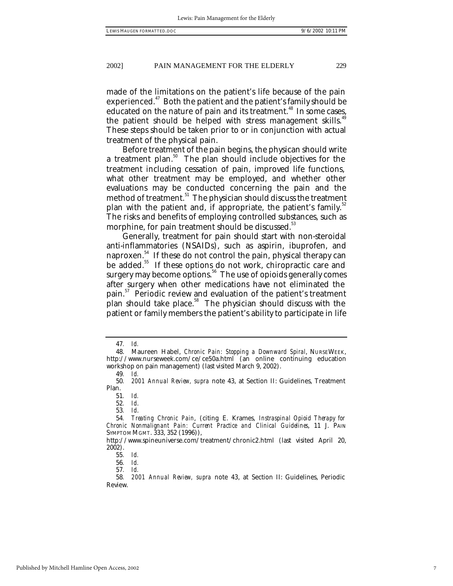made of the limitations on the patient's life because of the pain experienced.<sup>47</sup> Both the patient and the patient's family should be educated on the nature of pain and its treatment.<sup>48</sup> In some cases, the patient should be helped with stress management skills.<sup>49</sup> These steps should be taken prior to or in conjunction with actual treatment of the physical pain.

Before treatment of the pain begins, the physican should write a treatment plan.<sup>50</sup> The plan should include objectives for the treatment including cessation of pain, improved life functions, what other treatment may be employed, and whether other evaluations may be conducted concerning the pain and the method of treatment.<sup>51</sup> The physician should discuss the treatment plan with the patient and, if appropriate, the patient's family. $52$ The risks and benefits of employing controlled substances, such as morphine, for pain treatment should be discussed.<sup>33</sup>

Generally, treatment for pain should start with non-steroidal anti-inflammatories (NSAIDs), such as aspirin, ibuprofen, and naproxen. <sup>54</sup> If these do not control the pain, physical therapy can be added.<sup>55</sup> If these options do not work, chiropractic care and surgery may become options.<sup>56</sup> The use of opioids generally comes after surgery when other medications have not eliminated the pain.<sup>57</sup> Periodic review and evaluation of the patient's treatment plan should take place.<sup>58</sup> The physician should discuss with the patient or family members the patient's ability to participate in life

52*. Id*.

<sup>47</sup>*. Id.*

<sup>48.</sup> Maureen Habel, *Chronic Pain: Stopping a Downward Spiral*, NURSEWEEK, http://www.nurseweek.com/ce/ce50a.html (an online continuing education workshop on pain management) (last visited March 9, 2002).

<sup>49</sup>*. Id.*

<sup>50</sup>*. 2001 Annual Review, supra* note 43, at Section II: Guidelines, Treatment Plan.

<sup>51</sup>*. Id.*

<sup>53</sup>*. Id*.

<sup>54</sup>*. Treating Chronic Pain*, (citing E. Krames, *Instraspinal Opioid Therapy for Chronic Nonmalignant Pain: Current Practice and Clinical Guidelines*, 11 J. PAIN SYMPTOM MGMT. 333, 352 (1996)),

http://www.spineuniverse.com/treatment/chronic2.html (last visited April 20,  $2002$ ).

<sup>55</sup>*. Id.*

<sup>57</sup>*. Id.*

<sup>58</sup>*. 2001 Annual Review, supra* note 43, at Section II: Guidelines, Periodic Review.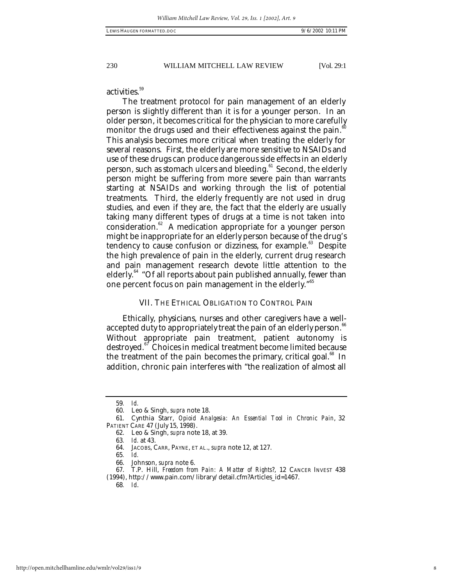activities.<sup>59</sup>

The treatment protocol for pain management of an elderly person is slightly different than it is for a younger person. In an older person, it becomes critical for the physician to more carefully monitor the drugs used and their effectiveness against the pain.<sup>6</sup> This analysis becomes more critical when treating the elderly for several reasons. First, the elderly are more sensitive to NSAIDs and use of these drugs can produce dangerous side effects in an elderly person, such as stomach ulcers and bleeding.<sup>61</sup> Second, the elderly person might be suffering from more severe pain than warrants starting at NSAIDs and working through the list of potential treatments. Third, the elderly frequently are not used in drug studies, and even if they are, the fact that the elderly are usually taking many different types of drugs at a time is not taken into consideration.<sup>62</sup> A medication appropriate for a younger person might be inappropriate for an elderly person because of the drug's tendency to cause confusion or dizziness, for example. $83$  Despite the high prevalence of pain in the elderly, current drug research and pain management research devote little attention to the elderly.<sup>64</sup> "Of all reports about pain published annually, fewer than one percent focus on pain management in the elderly.<sup>"65</sup>

### VII. THE ETHICAL OBLIGATION TO CONTROL PAIN

Ethically, physicians, nurses and other caregivers have a wellaccepted duty to appropriately treat the pain of an elderly person.<sup>66</sup> Without appropriate pain treatment, patient autonomy is destroyed.<sup>67</sup> Choices in medical treatment become limited because the treatment of the pain becomes the primary, critical goal. $^8$  In addition, chronic pain interferes with "the realization of almost all

66. Johnson, *supra* note 6.

<sup>59</sup>*. Id.*

<sup>60.</sup> Leo & Singh, *supra* note 18.

<sup>61.</sup> Cynthia Starr, *Opioid Analgesia: An Essential Tool in Chronic Pain*, 32 PATIENT CARE 47 (July 15, 1998).

<sup>62.</sup> Leo & Singh, *supra* note 18, at 39.

<sup>63</sup>*. Id.* at 43.

<sup>64.</sup> JACOBS, CARR, PAYNE, ET AL., *supra* note 12, at 127.

<sup>65</sup>*. Id.*

<sup>67.</sup> T.P. Hill, *Freedom from Pain: A Matter of Rights*?, 12 CANCER INVEST 438 (1994), http://www.pain.com/library/detail.cfm?Articles\_id=1467.

<sup>68</sup>*. Id*.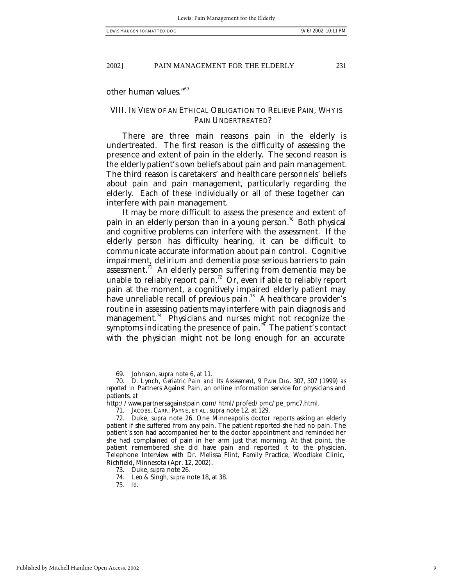other human values."<sup>69</sup>

### VIII. IN VIEW OF AN ETHICAL OBLIGATION TO RELIEVE PAIN, WHY IS PAIN UNDERTREATED?

There are three main reasons pain in the elderly is undertreated. The first reason is the difficulty of assessing the presence and extent of pain in the elderly. The second reason is the elderly patient's own beliefs about pain and pain management. The third reason is caretakers' and healthcare personnels' beliefs about pain and pain management, particularly regarding the elderly. Each of these individually or all of these together can interfere with pain management.

It may be more difficult to assess the presence and extent of pain in an elderly person than in a young person.<sup>70</sup> Both physical and cognitive problems can interfere with the assessment. If the elderly person has difficulty hearing, it can be difficult to communicate accurate information about pain control. Cognitive impairment, delirium and dementia pose serious barriers to pain assessment.<sup>71</sup> An elderly person suffering from dementia may be unable to reliably report pain.<sup>72</sup> Or, even if able to reliably report pain at the moment, a cognitively impaired elderly patient may have unreliable recall of previous pain.<sup>73</sup> A healthcare provider's routine in assessing patients may interfere with pain diagnosis and management.<sup>74</sup> Physicians and nurses might not recognize the symptoms indicating the presence of pain. $75$  The patient's contact with the physician might not be long enough for an accurate

<sup>69.</sup> Johnson, *supra* note 6, at 11.

<sup>70.</sup> D. Lynch, *Geriatric Pain and Its Assessment*, 9 PAIN DIG. 307, 307 (1999) *as reported in* Partners Against Pain, an online information service for physicians and patients, *at* 

http://www.partnersagainstpain.com/html/profed/pmc/pe\_pmc7.html.

<sup>71.</sup> JACOBS, CARR, PAYNE, ET AL, *supra* note 12, at 129.

<sup>72.</sup> Duke, *supra* note 26. One Minneapolis doctor reports asking an elderly patient if she suffered from any pain. The patient reported she had no pain. The patient's son had accompanied her to the doctor appointment and reminded her she had complained of pain in her arm just that morning. At that point, the patient remembered she did have pain and reported it to the physician. Telephone Interview with Dr. Melissa Flint, Family Practice, Woodlake Clinic, Richfield, Minnesota (Apr. 12, 2002).

<sup>73.</sup> Duke, *supra* note 26*.*

<sup>74.</sup> Leo & Singh, *supra* note 18, at 38.

<sup>75</sup>*. Id.*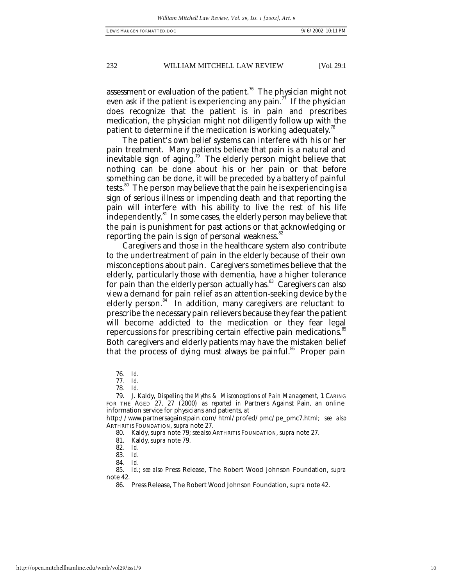assessment or evaluation of the patient.<sup>76</sup> The physician might not even ask if the patient is experiencing any pain.<sup>77</sup> If the physician does recognize that the patient is in pain and prescribes medication, the physician might not diligently follow up with the patient to determine if the medication is working adequately.<sup>8</sup>

The patient's own belief systems can interfere with his or her pain treatment. Many patients believe that pain is a natural and inevitable sign of aging.<sup>79</sup> The elderly person might believe that nothing can be done about his or her pain or that before something can be done, it will be preceded by a battery of painful tests.<sup>80</sup> The person may believe that the pain he is experiencing is a sign of serious illness or impending death and that reporting the pain will interfere with his ability to live the rest of his life independently.<sup>81</sup> In some cases, the elderly person may believe that the pain is punishment for past actions or that acknowledging or reporting the pain is sign of personal weakness.<sup>82</sup>

Caregivers and those in the healthcare system also contribute to the undertreatment of pain in the elderly because of their own misconceptions about pain. Caregivers sometimes believe that the elderly, particularly those with dementia, have a higher tolerance for pain than the elderly person actually has.<sup>83</sup> Caregivers can also view a demand for pain relief as an attention-seeking device by the elderly person. $84$  In addition, many caregivers are reluctant to prescribe the necessary pain relievers because they fear the patient will become addicted to the medication or they fear legal repercussions for prescribing certain effective pain medications.<sup>85</sup> Both caregivers and elderly patients may have the mistaken belief that the process of dying must always be painful.<sup>86</sup> Proper pain

<sup>76</sup>*. Id.*

<sup>77</sup>*. Id.*

<sup>78</sup>*. Id.*

<sup>79.</sup> J. Kaldy, *Dispelling the Myths & Misconceptions of Pain Management,* 1 CARING FOR THE AGED 27, 27 (2000) *as reported in* Partners Against Pain, an online information service for physicians and patients, *at*

http://www.partnersagainstpain.com/html/profed/pmc/pe\_pmc7.html; *see also* ARTHRITIS FOUNDATION, *supra* note 27.

<sup>80.</sup> Kaldy, *supra* note 79; *see also* ARTHRITIS FOUNDATION, *supra* note 27.

<sup>81.</sup> Kaldy, *supra* note 79.

<sup>82</sup>*. Id*.

<sup>83</sup>*. Id*.

<sup>84</sup>*. Id*.

<sup>85.</sup> *Id.*; *see also* Press Release, The Robert Wood Johnson Foundation, *supra* note 42.

<sup>86.</sup> Press Release, The Robert Wood Johnson Foundation, *supra* note 42.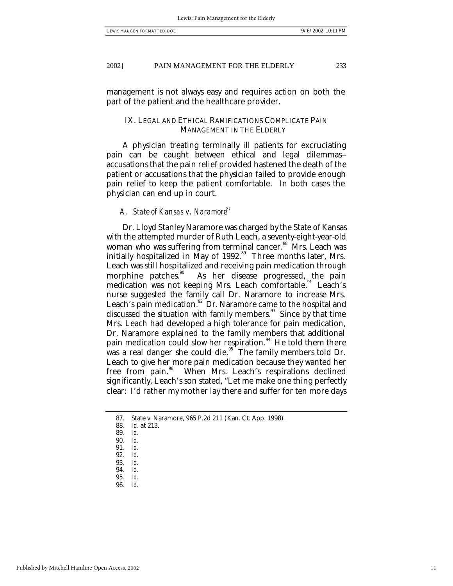management is not always easy and requires action on both the part of the patient and the healthcare provider.

### IX. LEGAL AND ETHICAL RAMIFICATIONS COMPLICATE PAIN MANAGEMENT IN THE ELDERLY

A physician treating terminally ill patients for excruciating pain can be caught between ethical and legal dilemmas- accusations that the pain relief provided hastened the death of the patient or accusations that the physician failed to provide enough pain relief to keep the patient comfortable. In both cases the physician can end up in court.

### *A. State of Kansas v. Naramore<sup>87</sup>*

Dr. Lloyd Stanley Naramore was charged by the State of Kansas with the attempted murder of Ruth Leach, a seventy-eight-year-old woman who was suffering from terminal cancer. <sup>88</sup> Mrs. Leach was initially hospitalized in May of  $1992$ .<sup>89</sup> Three months later, Mrs. Leach was still hospitalized and receiving pain medication through<br>morphine patches.<sup>30</sup> As her disease progressed, the pain As her disease progressed, the pain medication was not keeping Mrs. Leach comfortable.<sup>91</sup> Leach's nurse suggested the family call Dr. Naramore to increase Mrs. Leach's pain medication.<sup>92</sup> Dr. Naramore came to the hospital and discussed the situation with family members.<sup>93</sup> Since by that time Mrs. Leach had developed a high tolerance for pain medication, Dr. Naramore explained to the family members that additional pain medication could slow her respiration. $94$  He told them there was a real danger she could die.<sup>95</sup> The family members told Dr. Leach to give her more pain medication because they wanted her free from pain.<sup>96</sup> When Mrs. Leach's respirations declined significantly, Leach's son stated, "Let me make one thing perfectly clear: I'd rather my mother lay there and suffer for ten more days

<sup>87.</sup> State v. Naramore, 965 P.2d 211 (Kan. Ct. App. 1998).<br>88. Id. at 213.

<sup>88</sup>*. Id*. at 213.

<sup>89</sup>*. Id.*

<sup>90</sup>*. Id.*

<sup>91</sup>*. Id.*

<sup>92</sup>*. Id.*

<sup>93</sup>*. Id.*

<sup>94</sup>*. Id.*

<sup>95</sup>*. Id.*

<sup>96</sup>*. Id.*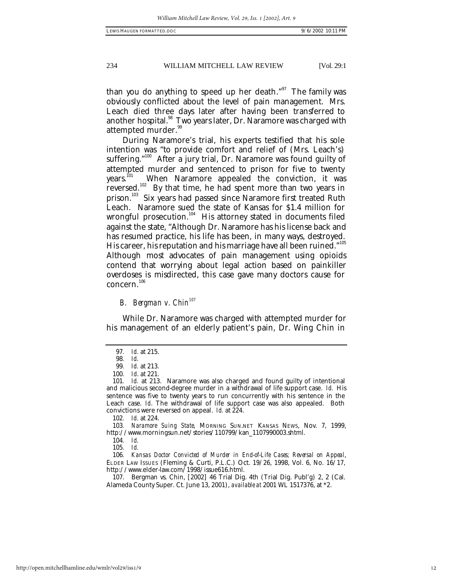than you do anything to speed up her death."<sup>97</sup> The family was obviously conflicted about the level of pain management. Mrs. Leach died three days later after having been transferred to another hospital.<sup>98</sup> Two years later, Dr. Naramore was charged with attempted murder.<sup>99</sup>

During Naramore's trial, his experts testified that his sole intention was "to provide comfort and relief of (Mrs. Leach's) suffering."<sup>100</sup> After a jury trial, Dr. Naramore was found guilty of attempted murder and sentenced to prison for five to twenty years.<sup>ni</sup> When Naramore appealed the conviction, it was reversed.<sup>102</sup> By that time, he had spent more than two years in prison.<sup>103</sup> Six years had passed since Naramore first treated Ruth Leach. Naramore sued the state of Kansas for \$1.4 million for wrongful prosecution.<sup>104</sup> His attorney stated in documents filed against the state, "Although Dr. Naramore has his license back and has resumed practice, his life has been, in many ways, destroyed. His career, his reputation and his marriage have all been ruined."  $^{105}$ Although most advocates of pain management using opioids contend that worrying about legal action based on painkiller overdoses is misdirected, this case gave many doctors cause for concern. 106

### *B. Bergman v. Chin<sup>107</sup>*

While Dr. Naramore was charged with attempted murder for his management of an elderly patient's pain, Dr. Wing Chin in

<sup>97</sup>*. Id.* at 215.

<sup>98</sup>*. Id.*

<sup>99</sup>*. Id.* at 213.

<sup>100</sup>*. Id*. at 221.

<sup>101</sup>*. Id.* at 213. Naramore was also charged and found guilty of intentional and malicious second-degree murder in a withdrawal of life support case. *Id.* His sentence was five to twenty years to run concurrently with his sentence in the Leach case. *Id*. The withdrawal of life support case was also appealed. Both convictions were reversed on appeal. *Id.* at 224.

<sup>102</sup>*. Id.* at 224.

<sup>103</sup>*. Naramore Suing State*, MORNING SUN.NET KANSAS NEWS, Nov. 7, 1999, http://www.morningsun.net/stories/110799/kan\_1107990003.shtml.

<sup>104</sup>*. Id.*

<sup>105</sup>*. Id.*

<sup>106</sup>*. Kansas Doctor Convicted of Murder in End-of-Life Cases; Reversal on Appeal*, ELDER LAW ISSUES (Fleming & Curti, P.L.C.) Oct. 19/26, 1998, Vol. 6, No. 16/17, http://www.elder-law.com/1998/issue616.html.

<sup>107.</sup> Bergman vs. Chin, [2002] 46 Trial Dig. 4th (Trial Dig. Publ'g) 2, 2 (Cal. Alameda County Super. Ct. June 13, 2001), *available at* 2001 WL 1517376, at \*2.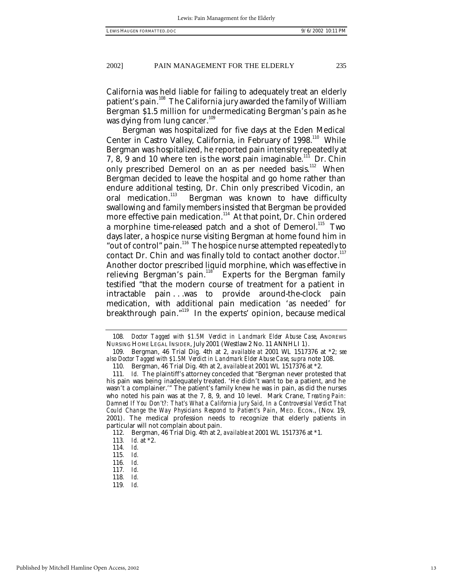California was held liable for failing to adequately treat an elderly patient's pain.<sup>108</sup> The California jury awarded the family of William Bergman \$1.5 million for undermedicating Bergman's pain as he was dying from lung cancer. $109$ 

Bergman was hospitalized for five days at the Eden Medical Center in Castro Valley, California, in February of 1998.<sup>110</sup> While Bergman was hospitalized, he reported pain intensity repeatedly at 7, 8, 9 and 10 where ten is the worst pain imaginable.<sup>111</sup> Dr. Chin only prescribed Demerol on an as per needed basis.<sup>112</sup> When Bergman decided to leave the hospital and go home rather than endure additional testing, Dr. Chin only prescribed Vicodin, an oral medication.<sup>113</sup> Bergman was known to have difficulty swallowing and family members insisted that Bergman be provided more effective pain medication.<sup>114</sup> At that point, Dr. Chin ordered a morphine time-released patch and a shot of Demerol.<sup>115</sup> Two days later, a hospice nurse visiting Bergman at home found him in "out of control" pain.<sup>116</sup> The hospice nurse attempted repeatedly to contact Dr. Chin and was finally told to contact another doctor. $117$ Another doctor prescribed liquid morphine, which was effective in relieving Bergman's pain.<sup>118</sup> Experts for the Bergman family Experts for the Bergman family. testified "that the modern course of treatment for a patient in intractable pain . . .was to provide around-the-clock pain medication, with additional pain medication 'as needed' for breakthrough pain."<sup>119</sup> In the experts' opinion, because medical

<sup>108</sup>*. Doctor Tagged with \$1.5M Verdict in Landmark Elder Abuse Case*, ANDREWS NURSING HOME LEGAL INSIDER, July 2001 (Westlaw 2 No. 11 ANNHLI 1).

<sup>109.</sup> Bergman, 46 Trial Dig. 4th at 2, *available at* 2001 WL 1517376 at \*2; *see also Doctor Tagged with \$1.5M Verdict in Landmark Elder Abuse Case*, *supra* note 108.

<sup>110.</sup> Bergman, 46 Trial Dig. 4th at 2, *available at* 2001 WL 1517376 at \*2.

<sup>111</sup>*. Id.* The plaintiff's attorney conceded that "Bergman never protested that his pain was being inadequately treated. 'He didn't want to be a patient, and he wasn't a complainer.'" The patient's family knew he was in pain, as did the nurses who noted his pain was at the 7, 8, 9, and 10 level. Mark Crane, *Treating Pain: Damned If You Don't?: That's What a California Jury Said, In a Controversial Verdict That Could Change the Way Physicians Respond to Patient's Pain*, MED. ECON., (Nov. 19, 2001). The medical profession needs to recognize that elderly patients in particular will not complain about pain.

<sup>112.</sup> Bergman, 46 Trial Dig. 4th at 2, *available at* 2001 WL 1517376 at \*1.

<sup>113</sup>*. Id.* at \*2.

<sup>114</sup>*. Id.*

<sup>115</sup>*. Id.*

<sup>116</sup>*. Id.*

<sup>117</sup>*. Id.*

<sup>118</sup>*. Id.*

<sup>119</sup>*. Id.*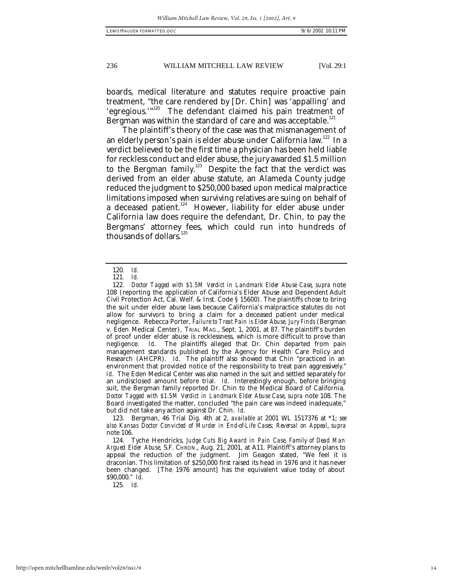boards, medical literature and statutes require proactive pain treatment, "the care rendered by [Dr. Chin] was 'appalling' and 'egregious.'"<sup>120</sup> The defendant claimed his pain treatment of Bergman was within the standard of care and was acceptable. $^{121}$ 

The plaintiff's theory of the case was that mismanagement of an elderly person's pain is elder abuse under California law.<sup>122</sup> In a verdict believed to be the first time a physician has been held liable for reckless conduct and elder abuse, the jury awarded \$1.5 million to the Bergman family.<sup>123</sup> Despite the fact that the verdict was derived from an elder abuse statute, an Alameda County judge reduced the judgment to \$250,000 based upon medical malpractice limitations imposed when surviving relatives are suing on behalf of a deceased patient.<sup>124</sup> However, liability for elder abuse under California law does require the defendant, Dr. Chin, to pay the Bergmans' attorney fees, which could run into hundreds of thousands of dollars.<sup>1</sup>

<sup>120</sup>*. Id.*

<sup>121</sup>*. Id.*

<sup>122</sup>*. Doctor Tagged with \$1.5M Verdict in Landmark Elder Abuse Case*, *supra* note 108 (reporting the application of California's Elder Abuse and Dependent Adult Civil Protection Act, Cal. Welf. & Inst. Code § 15600). The plaintiffs chose to bring the suit under elder abuse laws because California's malpractice statutes do not allow for survivors to bring a claim for a deceased patient under medical negligence. Rebecca Porter, *Failure to Treat Pain is Elder Abuse, Jury Finds* (Bergman v. Eden Medical Center), TRIAL MAG., Sept. 1, 2001, at 87. The plaintiff's burden of proof under elder abuse is recklessness, which is more difficult to prove than negligence. Id. The plaintiffs alleged that Dr. Chin departed from pain Id. The plaintiffs alleged that Dr. Chin departed from pain management standards published by the Agency for Health Care Policy and Research (AHCPR). *Id*. The plaintiff also showed that Chin "practiced in an environment that provided notice of the responsibility to treat pain aggressively." *Id*. The Eden Medical Center was also named in the suit and settled separately for an undisclosed amount before trial. *Id*. Interestingly enough, before bringing suit, the Bergman family reported Dr. Chin to the Medical Board of California. *Doctor Tagged with \$1.5M Verdict in Landmark Elder Abuse Case*, *supra* note 108. The Board investigated the matter, concluded "the pain care was indeed inadequate," but did not take any action against Dr. Chin. *Id*.

<sup>123.</sup> Bergman, 46 Trial Dig. 4th at 2, *available at* 2001 WL 1517376 at \*1; *see also Kansas Doctor Convicted of Murder in End-of-Life Cases; Reversal on Appeal*, *supra* note 106.

<sup>124.</sup> Tyche Hendricks, *Judge Cuts Big Award in Pain Case, Family of Dead Man Argued Elder Abuse*, S.F. CHRON., Aug. 21, 2001, at A11. Plaintiff's attorney plans to appeal the reduction of the judgment. Jim Geagon stated, "We feel it is draconian. This limitation of \$250,000 first raised its head in 1976 and it has never been changed. [The 1976 amount] has the equivalent value today of about \$90,000." *Id*.

<sup>125</sup>*. Id.*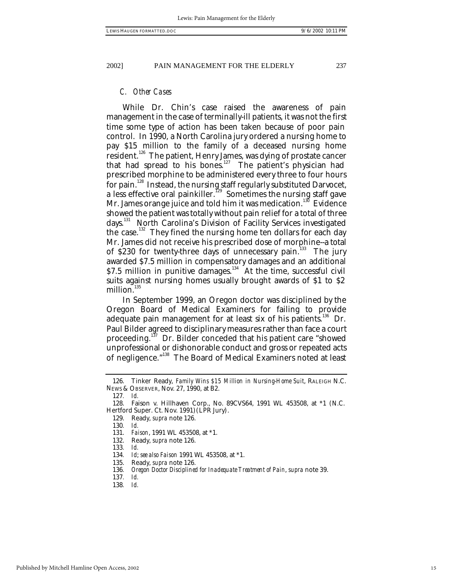### *C. Other Cases*

While Dr. Chin's case raised the awareness of pain management in the case of terminally-ill patients, it was not the first time some type of action has been taken because of poor pain control. In 1990, a North Carolina jury ordered a nursing home to pay \$15 million to the family of a deceased nursing home resident.<sup>126</sup> The patient, Henry James, was dying of prostate cancer that had spread to his bones.<sup>127</sup> The patient's physician had prescribed morphine to be administered every three to four hours for pain.<sup>128</sup> Instead, the nursing staff regularly substituted Darvocet, a less effective oral painkiller.<sup>129</sup> Sometimes the nursing staff gave Mr. James orange juice and told him it was medication.<sup>130</sup> Evidence showed the patient was totally without pain relief for a total of three days.<sup>131</sup> North Carolina's Division of Facility Services investigated the case.<sup>132</sup> They fined the nursing home ten dollars for each day Mr. James did not receive his prescribed dose of morphine--a total of \$230 for twenty-three days of unnecessary pain.<sup>133</sup> The jury awarded \$7.5 million in compensatory damages and an additional \$7.5 million in punitive damages. $134$  At the time, successful civil suits against nursing homes usually brought awards of \$1 to \$2 million.<sup>135</sup>

In September 1999, an Oregon doctor was disciplined by the Oregon Board of Medical Examiners for failing to provide adequate pain management for at least six of his patients.<sup>136</sup> Dr. Paul Bilder agreed to disciplinary measures rather than face a court proceeding.<sup>137</sup> Dr. Bilder conceded that his patient care "showed unprofessional or dishonorable conduct and gross or repeated acts of negligence."<sup>138</sup> The Board of Medical Examiners noted at least

<sup>126.</sup> Tinker Ready, *Family Wins \$15 Million in Nursing-Home Suit*, RALEIGH N.C. NEWS & OBSERVER, Nov. 27, 1990, at B2.

<sup>127</sup>*. Id.*

<sup>128.</sup> Faison v. Hillhaven Corp., No. 89CVS64, 1991 WL 453508, at \*1 (N.C. Hertford Super. Ct. Nov. 1991) (LPR Jury).

<sup>129.</sup> Ready, *supra* note 126.

<sup>130</sup>*. Id.*

<sup>131.</sup> *Faison*, 1991 WL 453508, at \*1.

<sup>132.</sup> Ready, *supra* note 126.

<sup>133</sup>*. Id.*

<sup>134</sup>*. Id*; *see also Faison* 1991 WL 453508, at \*1.

<sup>135.</sup> Ready, *supra* note 126.

<sup>136</sup>*. Oregon Doctor Disciplined for Inadequate Treatment of Pain*, *supra* note 39.

<sup>137</sup>*. Id.*

<sup>138</sup>*. Id.*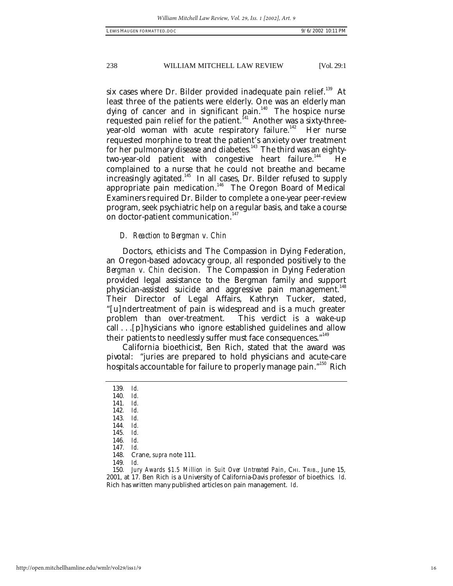six cases where Dr. Bilder provided inadequate pain relief.<sup>139</sup> At least three of the patients were elderly. One was an elderly man dying of cancer and in significant pain. $140$  The hospice nurse requested pain relief for the patient.<sup>141</sup> Another was a sixty-threeyear-old woman with acute respiratory failure.<sup>142</sup> Her nurse requested morphine to treat the patient's anxiety over treatment for her pulmonary disease and diabetes.<sup>143</sup> The third was an eightytwo-year-old patient with congestive heart failure.<sup>144</sup> He complained to a nurse that he could not breathe and became increasingly agitated.<sup>145</sup> In all cases, Dr. Bilder refused to supply appropriate pain medication.<sup>146</sup> The Oregon Board of Medical Examiners required Dr. Bilder to complete a one-year peer-review program, seek psychiatric help on a regular basis, and take a course on doctor-patient communication.<sup>147</sup>

### *D. Reaction to Bergman v. Chin*

Doctors, ethicists and The Compassion in Dying Federation, an Oregon-based adovcacy group, all responded positively to the *Bergman v. Chin* decision. The Compassion in Dying Federation provided legal assistance to the Bergman family and support physician-assisted suicide and aggressive pain management.<sup>148</sup> Their Director of Legal Affairs, Kathryn Tucker, stated, "[u]ndertreatment of pain is widespread and is a much greater problem than over-treatment. This verdict is a wake-up call . . .[p]hysicians who ignore established guidelines and allow their patients to needlessly suffer must face consequences."<sup>149</sup>

California bioethicist, Ben Rich, stated that the award was pivotal: "juries are prepared to hold physicians and acute-care hospitals accountable for failure to properly manage pain."<sup>150</sup> Rich

<sup>139</sup>*. Id.*

<sup>140</sup>*. Id.*

<sup>141</sup>*. Id.*

<sup>142</sup>*. Id.*

<sup>143</sup>*. Id.*

<sup>144</sup>*. Id.* 145*. Id.*

<sup>146</sup>*. Id.*

<sup>147</sup>*. Id.*

<sup>148.</sup> Crane, *supra* note 111.

<sup>150</sup>*. Jury Awards \$1.5 Million in Suit Over Untreated Pain*, CHI. TRIB., June 15, 2001, at 17. Ben Rich is a University of California-Davis professor of bioethics. *Id*. Rich has written many published articles on pain management. *Id*.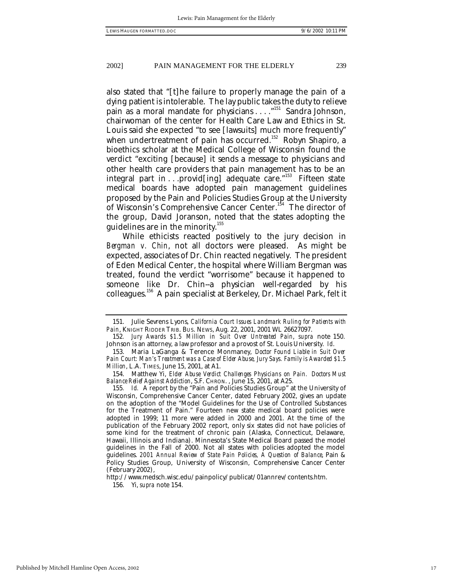also stated that "[t]he failure to properly manage the pain of a dying patient is intolerable. The lay public takes the duty to relieve pain as a moral mandate for physicians . . . . "<sup>151</sup> Sandra Johnson, chairwoman of the center for Health Care Law and Ethics in St. Louis said she expected "to see [lawsuits] much more frequently" when undertreatment of pain has occurred.<sup>152</sup> Robyn Shapiro, a bioethics scholar at the Medical College of Wisconsin found the verdict "exciting [because] it sends a message to physicians and other health care providers that pain management has to be an integral part in . . .provid[ing] adequate care."<sup>153</sup> Fifteen state medical boards have adopted pain management guidelines proposed by the Pain and Policies Studies Group at the University of Wisconsin's Comprehensive Cancer Center.<sup>154</sup> The director of the group, David Joranson, noted that the states adopting the guidelines are in the minority. $155$ 

While ethicists reacted positively to the jury decision in *Bergman v. Chin*, not all doctors were pleased. As might be expected, associates of Dr. Chin reacted negatively. The president of Eden Medical Center, the hospital where William Bergman was treated, found the verdict "worrisome" because it happened to someone like Dr. Chin--a physician well-regarded by his colleagues.<sup>156</sup> A pain specialist at Berkeley, Dr. Michael Park, felt it

http://www.medsch.wisc.edu/painpolicy/publicat/01annrev/contents.htm. 156. Yi, *supra* note 154.

<sup>151.</sup> Julie Sevrens Lyons, *California Court Issues Landmark Ruling for Patients with Pain*, KNIGHT RIDDER TRIB. BUS. NEWS, Aug. 22, 2001, 2001 WL 26627097.

<sup>152</sup>*. Jury Awards \$1.5 Million in Suit Over Untreated Pain*, *supra* note 150. Johnson is an attorney, a law professor and a provost of St. Louis University. *Id*.

<sup>153.</sup> Maria LaGanga & Terence Monmaney, *Doctor Found Liable in Suit Over Pain Court: Man's Treatment was a Case of Elder Abuse, Jury Says. Family is Awarded \$1.5 Million*, L.A. TIMES, June 15, 2001, at A1.

<sup>154.</sup> Matthew Yi, *Elder Abuse Verdict Challenges Physicians on Pain. Doctors Must Balance Relief Against Addiction*, S.F. CHRON. , June 15, 2001, at A25.

<sup>155</sup>*. Id.* A report by the "Pain and Policies Studies Group" at the University of Wisconsin, Comprehensive Cancer Center, dated February 2002, gives an update on the adoption of the "Model Guidelines for the Use of Controlled Substances for the Treatment of Pain." Fourteen new state medical board policies were adopted in 1999; 11 more were added in 2000 and 2001. At the time of the publication of the February 2002 report, only six states did not have policies of some kind for the treatment of chronic pain (Alaska, Connecticut, Delaware, Hawaii, Illinois and Indiana). Minnesota's State Medical Board passed the model guidelines in the Fall of 2000. Not all states with policies adopted the model guidelines. *2001 Annual Review of State Pain Policies, A Question of Balance*, Pain & Policy Studies Group, University of Wisconsin, Comprehensive Cancer Center (February 2002),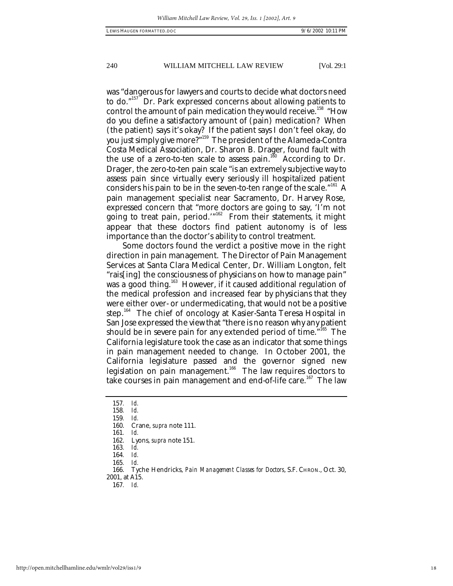was "dangerous for lawyers and courts to decide what doctors need to do."<sup>157</sup> Dr. Park expressed concerns about allowing patients to control the amount of pain medication they would receive.<sup>158</sup> "How do you define a satisfactory amount of (pain) medication? When (the patient) says it's okay? If the patient says I don't feel okay, do you just simply give more?"<sup>159</sup> The president of the Alameda-Contra Costa Medical Association, Dr. Sharon B. Drager, found fault with the use of a zero-to-ten scale to assess pain.<sup>160</sup> According to Dr. Drager, the zero-to-ten pain scale "is an extremely subjective way to assess pain since virtually every seriously ill hospitalized patient considers his pain to be in the seven-to-ten range of the scale."<sup>161</sup> A pain management specialist near Sacramento, Dr. Harvey Rose, expressed concern that "more doctors are going to say, 'I'm not going to treat pain, period.'"<sup>162</sup> From their statements, it might appear that these doctors find patient autonomy is of less importance than the doctor's ability to control treatment.

Some doctors found the verdict a positive move in the right direction in pain management. The Director of Pain Management Services at Santa Clara Medical Center, Dr. William Longton, felt "rais[ing] the consciousness of physicians on how to manage pain" was a good thing.<sup>163</sup> However, if it caused additional regulation of the medical profession and increased fear by physicians that they were either over- or undermedicating, that would not be a positive step.<sup>164</sup> The chief of oncology at Kasier-Santa Teresa Hospital in San Jose expressed the view that "there is no reason why any patient should be in severe pain for any extended period of time."<sup>165</sup> The California legislature took the case as an indicator that some things in pain management needed to change. In October 2001, the California legislature passed and the governor signed new legislation on pain management.<sup>166</sup> The law requires doctors to take courses in pain management and end-of-life care.<sup>167</sup> The law

158*. Id.*

161*. Id.*

164*. Id.*

165*. Id.*

<sup>157</sup>*. Id.*

<sup>159</sup>*. Id.* 160. Crane, *supra* note 111.

<sup>162.</sup> Lyons, *supra* note 151.

<sup>163</sup>*. Id.*

<sup>166.</sup> Tyche Hendricks, *Pain Management Classes for Doctors*, S.F. CHRON., Oct. 30, 2001, at A15.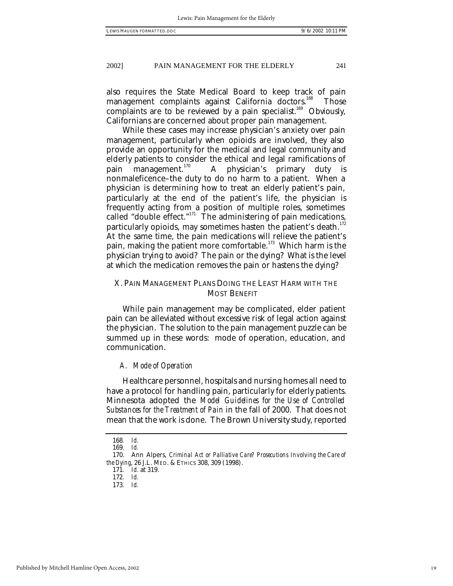also requires the State Medical Board to keep track of pain management complaints against California doctors.<sup>168</sup> Those complaints are to be reviewed by a pain specialist.<sup>169</sup> Obviously, Californians are concerned about proper pain management.

While these cases may increase physician's anxiety over pain management, particularly when opioids are involved, they also provide an opportunity for the medical and legal community and elderly patients to consider the ethical and legal ramifications of pain management. $170$  A physician's primary duty is nonmaleficence–the duty to do no harm to a patient. When a physician is determining how to treat an elderly patient's pain, particularly at the end of the patient's life, the physician is frequently acting from a position of multiple roles, sometimes called "double effect."<sup>171</sup> The administering of pain medications, particularly opioids, may sometimes hasten the patient's death. $^{172}$ At the same time, the pain medications will relieve the patient's pain, making the patient more comfortable.<sup>173</sup> Which harm is the physician trying to avoid? The pain or the dying? What is the level at which the medication removes the pain or hastens the dying?

### X. PAIN MANAGEMENT PLANS DOING THE LEAST HARM WITH THE MOST BENEFIT

While pain management may be complicated, elder patient pain can be alleviated without excessive risk of legal action against the physician. The solution to the pain management puzzle can be summed up in these words: mode of operation, education, and communication.

### *A. Mode of Operation*

Healthcare personnel, hospitals and nursing homes all need to have a protocol for handling pain, particularly for elderly patients. Minnesota adopted the *Model Guidelines for the Use of Controlled Substances for the Treatment of Pain* in the fall of 2000. That does not mean that the work is done. The Brown University study, reported

<sup>168</sup>*. Id.*

<sup>169</sup>*. Id.*

<sup>170.</sup> Ann Alpers, *Criminal Act or Palliative Care? Prosecutions Involving the Care of the Dying*, 26 J.L. MED. & ETHICS 308, 309 (1998).

<sup>171</sup>*. Id.* at 319.

<sup>172</sup>*. Id.*

<sup>173</sup>*. Id.*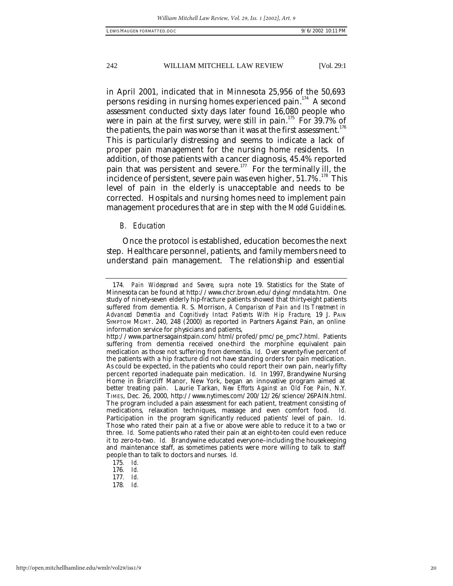in April 2001, indicated that in Minnesota 25,956 of the 50,693 persons residing in nursing homes experienced pain.<sup>174</sup> A second assessment conducted sixty days later found 16,080 people who were in pain at the first survey, were still in pain.<sup>175</sup> For 39.7% of the patients, the pain was worse than it was at the first assessment. $^{176}$ This is particularly distressing and seems to indicate a lack of proper pain management for the nursing home residents. In addition, of those patients with a cancer diagnosis, 45.4% reported pain that was persistent and severe.<sup>177</sup> For the terminally ill, the incidence of persistent, severe pain was even higher,  $51.7\%$ .<sup>178</sup> This level of pain in the elderly is unacceptable and needs to be corrected. Hospitals and nursing homes need to implement pain management procedures that are in step with the *Model Guidelines*.

### *B. Education*

Once the protocol is established, education becomes the next step. Healthcare personnel, patients, and family members need to understand pain management. The relationship and essential

<sup>174</sup>*. Pain Widespread and Severe, supra* note 19. Statistics for the State of Minnesota can be found at http://www.chcr.brown.edu/dying/mndata.htm. One study of ninety-seven elderly hip-fracture patients showed that thirty-eight patients suffered from dementia. R. S. Morrison, *A Comparison of Pain and Its Treatment in Advanced Dementia and Cognitively Intact Patients With Hip Fracture,* 19 J. PAIN SYMPTOM MGMT. 240, 248 (2000) as reported in Partners Against Pain, an online information service for physicians and patients,

http://www.partnersagainstpain.com/html/profed/pmc/pe\_pmc7.html. Patients suffering from dementia received one-third the morphine equivalent pain medication as those not suffering from dementia. *Id.* Over seventy-five percent of the patients with a hip fracture did not have standing orders for pain medication. As could be expected, in the patients who could report their own pain, nearly fifty percent reported inadequate pain medication. *Id.* In 1997, Brandywine Nursing Home in Briarcliff Manor, New York, began an innovative program aimed at better treating pain. Laurie Tarkan, *New Efforts Against an Old Foe: Pain*, N.Y. TIMES, Dec. 26, 2000, http://www.nytimes.com/200/12/26/science/26PAIN.html. The program included a pain assessment for each patient, treatment consisting of medications. relaxation techniques. massage and even comfort food. Id. medications, relaxation techniques, massage and even comfort food. *Id.* Participation in the program significantly reduced patients' level of pain. *Id.* Those who rated their pain at a five or above were able to reduce it to a two or three. *Id.* Some patients who rated their pain at an eight-to-ten could even reduce it to zero-to-two. *Id.* Brandywine educated everyone–including the housekeeping and maintenance staff, as sometimes patients were more willing to talk to staff people than to talk to doctors and nurses. *Id.*

<sup>175</sup>*. Id.*

<sup>176</sup>*. Id.*

<sup>177</sup>*. Id.*

<sup>178</sup>*. Id.*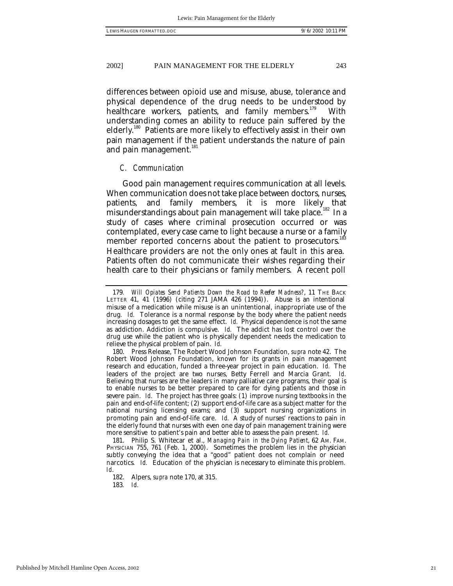differences between opioid use and misuse, abuse, tolerance and physical dependence of the drug needs to be understood by healthcare workers, patients, and family members.<sup>179</sup> With understanding comes an ability to reduce pain suffered by the elderly.<sup>180</sup> Patients are more likely to effectively assist in their own pain management if the patient understands the nature of pain and pain management.<sup>181</sup>

### *C. Communication*

Good pain management requires communication at all levels. When communication does not take place between doctors, nurses, patients, and family members, it is more likely that misunderstandings about pain management will take place.<sup>182</sup> In a study of cases where criminal prosecution occurred or was contemplated, every case came to light because a nurse or a family member reported concerns about the patient to prosecutors.<sup>183</sup> Healthcare providers are not the only ones at fault in this area. Patients often do not communicate their wishes regarding their health care to their physicians or family members. A recent poll

181. Philip S. Whitecar et al., *Managing Pain in the Dying Patient*, 62 AM. FAM. PHYSICIAN 755, 761 (Feb. 1, 2000). Sometimes the problem lies in the physician subtly conveying the idea that a "good" patient does not complain or need narcotics. *Id.* Education of the physician is necessary to eliminate this problem. *Id*.

182. Alpers, *supra* note 170, at 315. 183*. Id.*

<sup>179</sup>*. Will Opiates Send Patients Down the Road to Reefer Madness?*, 11 THE BACK LETTER 41, 41 (1996) (citing 271 JAMA 426 (1994)). Abuse is an intentional misuse of a medication while misuse is an unintentional, inappropriate use of the drug. *Id.* Tolerance is a normal response by the body where the patient needs increasing dosages to get the same effect. *Id.* Physical dependence is not the same as addiction. Addiction is compulsive. *Id.* The addict has lost control over the drug use while the patient who is physically dependent needs the medication to relieve the physical problem of pain. *Id.*

<sup>180.</sup> Press Release, The Robert Wood Johnson Foundation, *supra* note 42. The Robert Wood Johnson Foundation, known for its grants in pain management research and education, funded a three-year project in pain education. *Id.* The leaders of the project are two nurses, Betty Ferrell and Marcia Grant. *Id.* Believing that nurses are the leaders in many palliative care programs, their goal is to enable nurses to be better prepared to care for dying patients and those in severe pain. *Id.* The project has three goals: (1) improve nursing textbooks in the pain and end-of-life content; (2) support end-of-life care as a subject matter for the national nursing licensing exams; and (3) support nursing organizations in promoting pain and end-of-life care. *Id.* A study of nurses' reactions to pain in the elderly found that nurses with even one day of pain management training were more sensitive to patient's pain and better able to assess the pain present. *Id.*